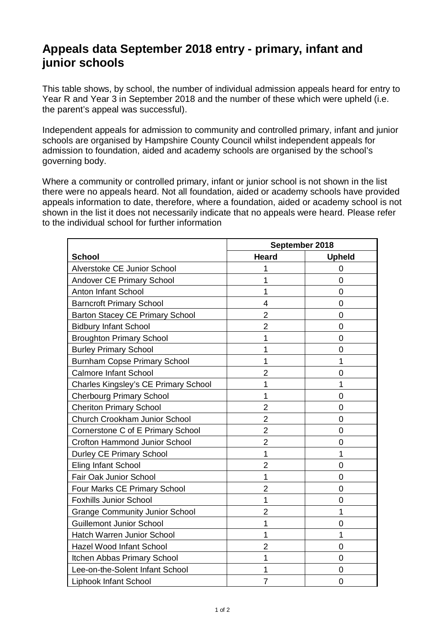## **Appeals data September 2018 entry - primary, infant and junior schools**

This table shows, by school, the number of individual admission appeals heard for entry to Year R and Year 3 in September 2018 and the number of these which were upheld (i.e. the parent's appeal was successful).

Independent appeals for admission to community and controlled primary, infant and junior schools are organised by Hampshire County Council whilst independent appeals for admission to foundation, aided and academy schools are organised by the school's governing body.

Where a community or controlled primary, infant or junior school is not shown in the list there were no appeals heard. Not all foundation, aided or academy schools have provided appeals information to date, therefore, where a foundation, aided or academy school is not shown in the list it does not necessarily indicate that no appeals were heard. Please refer to the individual school for further information

|                                             | September 2018 |                |
|---------------------------------------------|----------------|----------------|
| <b>School</b>                               | <b>Heard</b>   | <b>Upheld</b>  |
| Alverstoke CE Junior School                 | 1              | O              |
| Andover CE Primary School                   | 1              | $\overline{0}$ |
| <b>Anton Infant School</b>                  | 1              | $\overline{0}$ |
| <b>Barncroft Primary School</b>             | 4              | $\overline{0}$ |
| <b>Barton Stacey CE Primary School</b>      | $\overline{2}$ | 0              |
| <b>Bidbury Infant School</b>                | $\overline{2}$ | $\overline{0}$ |
| <b>Broughton Primary School</b>             | 1              | 0              |
| <b>Burley Primary School</b>                | 1              | $\overline{0}$ |
| <b>Burnham Copse Primary School</b>         | 1              | 1              |
| <b>Calmore Infant School</b>                | $\overline{2}$ | $\overline{0}$ |
| <b>Charles Kingsley's CE Primary School</b> | 1              | 1              |
| <b>Cherbourg Primary School</b>             | 1              | $\overline{0}$ |
| <b>Cheriton Primary School</b>              | $\overline{2}$ | $\overline{0}$ |
| Church Crookham Junior School               | $\overline{2}$ | $\overline{0}$ |
| Cornerstone C of E Primary School           | $\overline{2}$ | $\overline{0}$ |
| <b>Crofton Hammond Junior School</b>        | $\overline{2}$ | $\overline{0}$ |
| <b>Durley CE Primary School</b>             | 1              | 1              |
| <b>Eling Infant School</b>                  | $\overline{2}$ | $\overline{0}$ |
| Fair Oak Junior School                      | 1              | 0              |
| Four Marks CE Primary School                | $\overline{2}$ | $\overline{0}$ |
| <b>Foxhills Junior School</b>               | 1              | $\mathbf 0$    |
| <b>Grange Community Junior School</b>       | $\overline{2}$ | 1              |
| <b>Guillemont Junior School</b>             | 1              | 0              |
| Hatch Warren Junior School                  | 1              | 1              |
| Hazel Wood Infant School                    | $\overline{2}$ | $\mathbf 0$    |
| Itchen Abbas Primary School                 | 1              | $\overline{0}$ |
| Lee-on-the-Solent Infant School             | 1              | $\overline{0}$ |
| <b>Liphook Infant School</b>                | $\overline{7}$ | $\overline{0}$ |